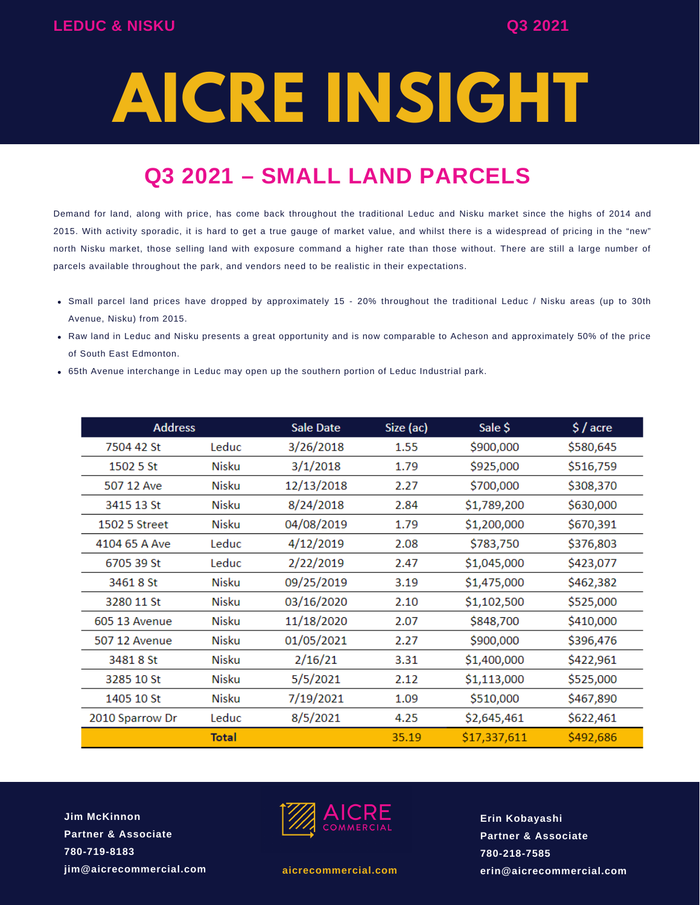# **AICRE INSIGHT**

# **Q3 2021 – SMALL LAND PARCELS**

Demand for land, along with price, has come back throughout the traditional Leduc and Nisku market since the highs of 2014 and 2015. With activity sporadic, it is hard to get a true gauge of market value, and whilst there is a widespread of pricing in the "new" north Nisku market, those selling land with exposure command a higher rate than those without. There are still a large number of parcels available throughout the park, and vendors need to be realistic in their expectations.

- Small parcel land prices have dropped by approximately 15 20% throughout the traditional Leduc / Nisku areas (up to 30th Avenue, Nisku) from 2015.
- Raw land in Leduc and Nisku presents a great opportunity and is now comparable to Acheson and approximately 50% of the price of South East Edmonton.
- 65th Avenue interchange in Leduc may open up the southern portion of Leduc Industrial park.

| <b>Address</b>  |              | <b>Sale Date</b> | Size (ac) | Sale \$      | $$/$ acre |
|-----------------|--------------|------------------|-----------|--------------|-----------|
| 7504 42 St      | Leduc        | 3/26/2018        | 1.55      | \$900,000    | \$580,645 |
| 1502 5 St       | Nisku        | 3/1/2018         | 1.79      | \$925,000    | \$516,759 |
| 507 12 Ave      | Nisku        | 12/13/2018       | 2.27      | \$700,000    | \$308,370 |
| 3415 13 St      | <b>Nisku</b> | 8/24/2018        | 2.84      | \$1,789,200  | \$630,000 |
| 1502 5 Street   | <b>Nisku</b> | 04/08/2019       | 1.79      | \$1,200,000  | \$670,391 |
| 4104 65 A Ave   | Leduc        | 4/12/2019        | 2.08      | \$783,750    | \$376,803 |
| 6705 39 St      | Leduc        | 2/22/2019        | 2.47      | \$1,045,000  | \$423,077 |
| 3461 8 St       | Nisku        | 09/25/2019       | 3.19      | \$1,475,000  | \$462,382 |
| 3280 11 St      | Nisku        | 03/16/2020       | 2.10      | \$1,102,500  | \$525,000 |
| 605 13 Avenue   | Nisku        | 11/18/2020       | 2.07      | \$848,700    | \$410,000 |
| 507 12 Avenue   | Nisku        | 01/05/2021       | 2.27      | \$900,000    | \$396,476 |
| 3481 8 St       | Nisku        | 2/16/21          | 3.31      | \$1,400,000  | \$422,961 |
| 3285 10 St      | Nisku        | 5/5/2021         | 2.12      | \$1,113,000  | \$525,000 |
| 1405 10 St      | Nisku        | 7/19/2021        | 1.09      | \$510,000    | \$467,890 |
| 2010 Sparrow Dr | Leduc        | 8/5/2021         | 4.25      | \$2,645,461  | \$622,461 |
|                 | <b>Total</b> |                  | 35.19     | \$17,337,611 | \$492,686 |

**Jim McKinnon Partner & Associate 780-719-8183 jim@aicrecommercial.com**



**aicrecommercial.com**

**Erin Kobayashi Partner & Associate 780-218-7585 erin@aicrecommercial.com**